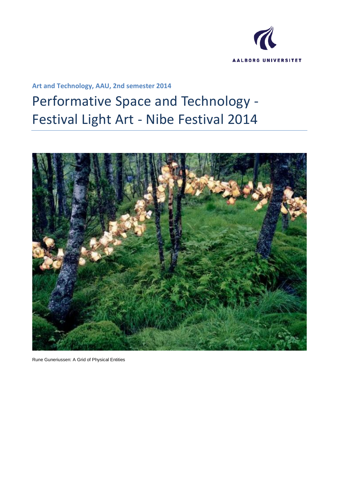

**Art and Technology, AAU, 2nd semester 2014**

# Performative Space and Technology - Festival Light Art - Nibe Festival 2014



Rune Guneriussen: A Grid of Physical Entities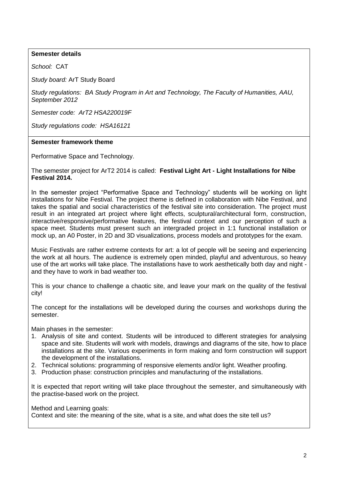# **Semester details**

*School:* CAT

*Study board:* ArT Study Board

*Study regulations: BA Study Program in Art and Technology, The Faculty of Humanities, AAU, September 2012*

*Semester code: ArT2 HSA220019F*

*Study regulations code: HSA16121*

#### **Semester framework theme**

Performative Space and Technology.

The semester project for ArT2 2014 is called: **Festival Light Art - Light Installations for Nibe Festival 2014.**

In the semester project "Performative Space and Technology" students will be working on light installations for Nibe Festival. The project theme is defined in collaboration with Nibe Festival, and takes the spatial and social characteristics of the festival site into consideration. The project must result in an integrated art project where light effects, sculptural/architectural form, construction, interactive/responsive/performative features, the festival context and our perception of such a space meet. Students must present such an intergraded project in 1:1 functional installation or mock up, an A0 Poster, in 2D and 3D visualizations, process models and prototypes for the exam.

Music Festivals are rather extreme contexts for art: a lot of people will be seeing and experiencing the work at all hours. The audience is extremely open minded, playful and adventurous, so heavy use of the art works will take place. The installations have to work aesthetically both day and night and they have to work in bad weather too.

This is your chance to challenge a chaotic site, and leave your mark on the quality of the festival city!

The concept for the installations will be developed during the courses and workshops during the semester.

Main phases in the semester:

- 1. Analysis of site and context. Students will be introduced to different strategies for analysing space and site. Students will work with models, drawings and diagrams of the site, how to place installations at the site. Various experiments in form making and form construction will support the development of the installations.
- 2. Technical solutions: programming of responsive elements and/or light. Weather proofing.
- 3. Production phase: construction principles and manufacturing of the installations.

It is expected that report writing will take place throughout the semester, and simultaneously with the practise-based work on the project.

#### Method and Learning goals:

Context and site: the meaning of the site, what is a site, and what does the site tell us?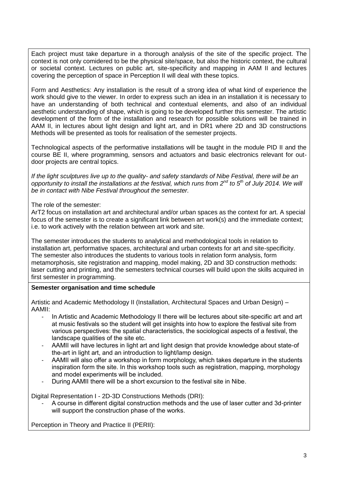Each project must take departure in a thorough analysis of the site of the specific project. The context is not only comidered to be the physical site/space, but also the historic context, the cultural or societal context. Lectures on public art, site-specificity and mapping in AAM II and lectures covering the perception of space in Perception II will deal with these topics.

Form and Aesthetics: Any installation is the result of a strong idea of what kind of experience the work should give to the viewer. In order to express such an idea in an installation it is necessary to have an understanding of both technical and contextual elements, and also of an individual aesthetic understanding of shape, which is going to be developed further this semester. The artistic development of the form of the installation and research for possible solutions will be trained in AAM II, in lectures about light design and light art, and in DR1 where 2D and 3D constructions Methods will be presented as tools for realisation of the semester projects.

Technological aspects of the performative installations will be taught in the module PID II and the course BE II, where programming, sensors and actuators and basic electronics relevant for outdoor projects are central topics.

*If the light sculptures live up to the quality- and safety standards of Nibe Festival, there will be an opportunity to install the installations at the festival, which runs from 2nd to 5th of July 2014. We will be in contact with Nibe Festival throughout the semester.*

The role of the semester:

ArT2 focus on installation art and architectural and/or urban spaces as the context for art. A special focus of the semester is to create a significant link between art work(s) and the immediate context; i.e. to work actively with the relation between art work and site.

The semester introduces the students to analytical and methodological tools in relation to installation art, performative spaces, architectural and urban contexts for art and site-specificity. The semester also introduces the students to various tools in relation form analysis, form metamorphosis, site registration and mapping, model making, 2D and 3D construction methods: laser cutting and printing, and the semesters technical courses will build upon the skills acquired in first semester in programming.

# **Semester organisation and time schedule**

Artistic and Academic Methodology II (Installation, Architectural Spaces and Urban Design) – AAMII:

- In Artistic and Academic Methodology II there will be lectures about site-specific art and art at music festivals so the student will get insights into how to explore the festival site from various perspectives: the spatial characteristics, the sociological aspects of a festival, the landscape qualities of the site etc.
- AAMII will have lectures in light art and light design that provide knowledge about state-of the-art in light art, and an introduction to light/lamp design.
- AAMII will also offer a workshop in form morphology, which takes departure in the students inspiration form the site. In this workshop tools such as registration, mapping, morphology and model experiments will be included.
- During AAMII there will be a short excursion to the festival site in Nibe.

Digital Representation I - 2D-3D Constructions Methods (DRI):

- A course in different digital construction methods and the use of laser cutter and 3d-printer will support the construction phase of the works.

Perception in Theory and Practice II (PERII):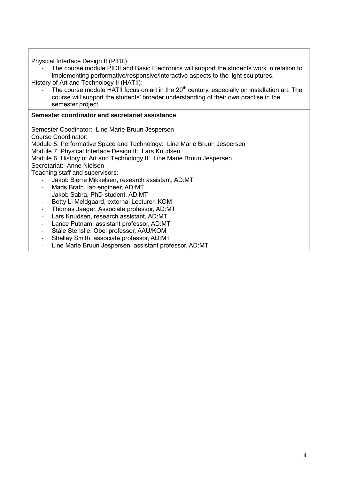Physical Interface Design II (PIDII):

The course module PIDII and Basic Electronics will support the students work in relation to implementing performative/responsive/interactive aspects to the light sculptures.

History of Art and Technology II (HATII):

The course module HATII focus on art in the  $20<sup>th</sup>$  century, especially on installation art. The course will support the students' broader understanding of their own practise in the semester project.

# **Semester coordinator and secretariat assistance**

Semester Coodinator: Line Marie Bruun Jespersen

Course Coordinator:

Module 5. Performative Space and Technology: Line Marie Bruun Jespersen

Module 7. Physical Interface Design II: Lars Knudsen

Module 6. History of Art and Technology II: Line Marie Bruun Jespersen

Secretariat: Anne Nielsen

Teaching staff and supervisors:

- Jakob Bjerre Mikkelsen, research assistant, AD:MT
- Mads Brath, lab engineer, AD:MT
- Jakob Sabra, PhD-student, AD:MT
- Betty Li Meldgaard, external Lecturer, KOM
- Thomas Jaeger, Associate professor, AD:MT
- Lars Knudsen, research assistant, AD:MT
- Lance Putnam, assistant professor, AD:MT
- Ståle Stenslie, Obel professor, AAU/KOM
- Shelley Smith, associate professor, AD:MT
- Line Marie Bruun Jespersen, assistant professor, AD:MT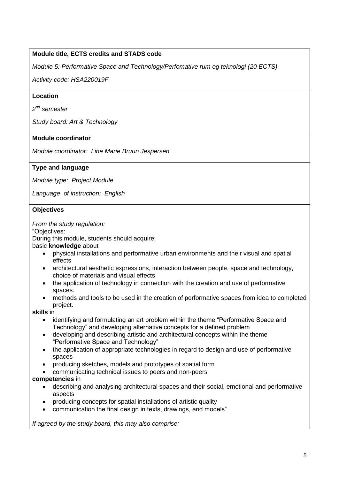# **Module title, ECTS credits and STADS code**

*Module 5: Performative Space and Technology/Perfomative rum og teknologi (20 ECTS)*

*Activity code: HSA220019F*

# **Location**

*2 nd semester*

*Study board: Art & Technology*

# **Module coordinator**

*Module coordinator: Line Marie Bruun Jespersen*

# **Type and language**

*Module type: Project Module*

*Language of instruction: English*

## **Objectives**

*From the study regulation:*

"Objectives:

During this module, students should acquire:

basic **knowledge** about

- physical installations and performative urban environments and their visual and spatial effects
- architectural aesthetic expressions, interaction between people, space and technology, choice of materials and visual effects
- the application of technology in connection with the creation and use of performative spaces.
- methods and tools to be used in the creation of performative spaces from idea to completed project.

**skills** in

- identifying and formulating an art problem within the theme "Performative Space and Technology" and developing alternative concepts for a defined problem
- developing and describing artistic and architectural concepts within the theme "Performative Space and Technology"
- the application of appropriate technologies in regard to design and use of performative spaces
- producing sketches, models and prototypes of spatial form
- communicating technical issues to peers and non-peers

## **competencies** in

- describing and analysing architectural spaces and their social, emotional and performative aspects
- producing concepts for spatial installations of artistic quality
- communication the final design in texts, drawings, and models"

*If agreed by the study board, this may also comprise:*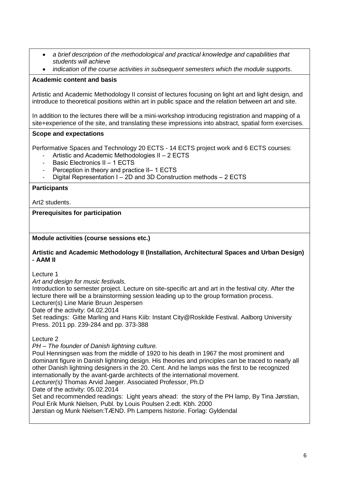- *a brief description of the methodological and practical knowledge and capabilities that students will achieve*
- *indication of the course activities in subsequent semesters which the module supports.*

# **Academic content and basis**

Artistic and Academic Methodology II consist of lectures focusing on light art and light design, and introduce to theoretical positions within art in public space and the relation between art and site.

In addition to the lectures there will be a mini-workshop introducing registration and mapping of a site+experience of the site, and translating these impressions into abstract, spatial form exercises.

# **Scope and expectations**

Performative Spaces and Technology 20 ECTS - 14 ECTS project work and 6 ECTS courses:

- Artistic and Academic Methodologies II  $-2$  ECTS
- Basic Electronics II 1 ECTS
- Perception in theory and practice II– 1 ECTS
- Digital Representation I 2D and 3D Construction methods 2 ECTS

# **Participants**

Art2 students.

**Prerequisites for participation**

**Module activities (course sessions etc.)**

#### **Artistic and Academic Methodology II (Installation, Architectural Spaces and Urban Design) - AAM II**

Lecture 1

*Art and design for music festivals.*

Introduction to semester project. Lecture on site-specific art and art in the festival city. After the lecture there will be a brainstorming session leading up to the group formation process. Lecturer(s) Line Marie Bruun Jespersen

Date of the activity: 04.02.2014

Set readings: Gitte Marling and Hans Kiib: Instant City@Roskilde Festival. Aalborg University Press. 2011 pp. 239-284 and pp. 373-388

Lecture 2

*PH – The founder of Danish lightning culture.*

Poul Henningsen was from the middle of 1920 to his death in 1967 the most prominent and dominant figure in Danish lightning design. His theories and principles can be traced to nearly all other Danish lightning designers in the 20. Cent. And he lamps was the first to be recognized internationally by the avant-garde architects of the international movement.

*Lecturer(s)* Thomas Arvid Jaeger. Associated Professor, Ph.D

Date of the activity: 05.02.2014

Set and recommended readings: Light years ahead: the story of the PH lamp, By [Tina Jørstian,](http://bibliotek.dk/da/search/work/phrase.creator%3D%22Tina%20J%C3%B8rstian%22) [Poul Erik Munk Nielsen,](http://bibliotek.dk/da/search/work/phrase.creator%3D%22Poul%20Erik%20Munk%20Nielsen%22) Publ. by Louis Poulsen 2.edt. Kbh. 2000

Jørstian og Munk Nielsen:TÆND. Ph Lampens historie. Forlag: Gyldendal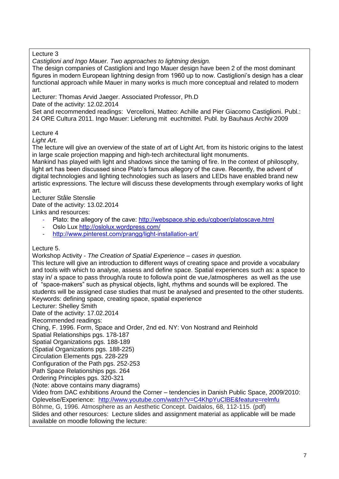Lecture 3

*Castiglioni and Ingo Mauer. Two approaches to lightning design.*

The design companies of Castiglioni and Ingo Mauer design have been 2 of the most dominant figures in modern European lightning design from 1960 up to now. Castiglioni's design has a clear functional approach while Mauer in many works is much more conceptual and related to modern art.

Lecturer: Thomas Arvid Jaeger. Associated Professor, Ph.D

Date of the activity: 12.02.2014

Set and recommended readings: [Vercelloni,](https://www.bibliotek.dk/da/search/work/phrase.creator%3D%22Matteo%20Vercelloni%22) Matteo: Achille and Pier Giacomo Castiglioni. Publ.: 24 ORE Cultura 2011. Ingo Mauer: Lieferung mit euchtmittel. Publ. by Bauhaus Archiv 2009

Lecture 4

*Light Art.*

The lecture will give an overview of the state of art of Light Art, from its historic origins to the latest in large scale projection mapping and high-tech architectural light monuments.

Mankind has played with light and shadows since the taming of fire. In the context of philosophy, light art has been discussed since Plato's famous allegory of the cave. Recently, the advent of digital technologies and lighting technologies such as lasers and LEDs have enabled brand new artistic expressions. The lecture will discuss these developments through exemplary works of light art.

Lecturer Ståle Stenslie

Date of the activity: 13.02.2014

Links and resources:

- Plato: the allegory of the cave:<http://webspace.ship.edu/cgboer/platoscave.html>
- Oslo Lux<http://oslolux.wordpress.com/>
- <http://www.pinterest.com/prangg/light-installation-art/>

Lecture 5.

Workshop Activity - *The Creation of Spatial Experience – cases in question.*

This lecture will give an introduction to different ways of creating space and provide a vocabulary and tools with which to analyse, assess and define space. Spatial experiences such as: a space to stay in/ a space to pass through/a route to follow/a point de vue,/atmospheres as well as the use of "space-makers" such as physical objects, light, rhythms and sounds will be explored. The students will be assigned case studies that must be analysed and presented to the other students. Keywords: defining space, creating space, spatial experience

Lecturer: Shelley Smith

Date of the activity: 17.02.2014

Recommended readings:

Ching, F. 1996. Form, Space and Order, 2nd ed. NY: Von Nostrand and Reinhold

Spatial Relationships pgs. 178-187

Spatial Organizations pgs. 188-189

(Spatial Organizations pgs. 188-225)

Circulation Elements pgs. 228-229

Configuration of the Path pgs. 252-253

Path Space Relationships pgs. 264

Ordering Principles pgs. 320-321

(Note: above contains many diagrams)

Video from DAC exhibitions Around the Corner – tendencies in Danish Public Space, 2009/2010: Oplevelse/Experience: <http://www.youtube.com/watch?v=C4KhpYuClBE&feature=relmfu> Böhme, G, 1996. Atmosphere as an Aesthetic Concept. Daidalos, 68, 112-115. (pdf) Slides and other resources: Lecture slides and assignment material as applicable will be made available on moodle following the lecture: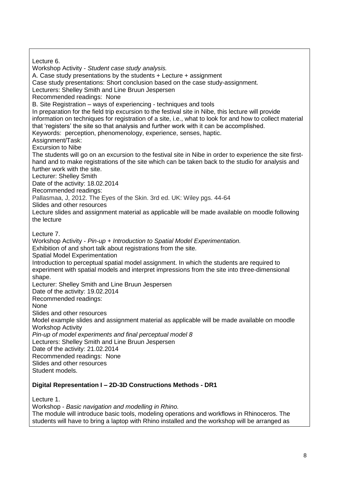Lecture 6. Workshop Activity - *Student case study analysis.* A. Case study presentations by the students + Lecture + assignment Case study presentations: Short conclusion based on the case study-assignment. Lecturers: Shelley Smith and Line Bruun Jespersen Recommended readings: None B. Site Registration – ways of experiencing - techniques and tools In preparation for the field trip excursion to the festival site in Nibe, this lecture will provide information on techniques for registration of a site, i.e., what to look for and how to collect material that 'registers' the site so that analysis and further work with it can be accomplished. Keywords: perception, phenomenology, experience, senses, haptic. Assignment/Task: Excursion to Nibe The students will go on an excursion to the festival site in Nibe in order to experience the site firsthand and to make registrations of the site which can be taken back to the studio for analysis and further work with the site. Lecturer: Shelley Smith Date of the activity: 18.02.2014 Recommended readings: Pallasmaa, J, 2012. The Eyes of the Skin. 3rd ed. UK: Wiley pgs. 44-64 Slides and other resources Lecture slides and assignment material as applicable will be made available on moodle following the lecture Lecture 7. Workshop Activity - *Pin-up + Introduction to Spatial Model Experimentation.* Exhibition of and short talk about registrations from the site*.* Spatial Model Experimentation Introduction to perceptual spatial model assignment. In which the students are required to experiment with spatial models and interpret impressions from the site into three-dimensional shape. Lecturer: Shelley Smith and Line Bruun Jespersen Date of the activity: 19.02.2014 Recommended readings: None Slides and other resources Model example slides and assignment material as applicable will be made available on moodle Workshop Activity *Pin-up of model experiments and final perceptual model 8* Lecturers: Shelley Smith and Line Bruun Jespersen Date of the activity: 21.02.2014 Recommended readings: None Slides and other resources Student models.

# **Digital Representation I – 2D-3D Constructions Methods - DR1**

Lecture 1.

Workshop - *Basic navigation and modelling in Rhino.*

The module will introduce basic tools, modeling operations and workflows in Rhinoceros. The students will have to bring a laptop with Rhino installed and the workshop will be arranged as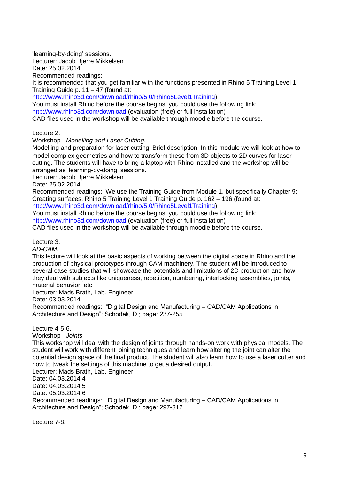'learning-by-doing' sessions. Lecturer: Jacob Bjerre Mikkelsen Date: 25.02.2014 Recommended readings: It is recommended that you get familiar with the functions presented in Rhino 5 Training Level 1 Training Guide p. 11 – 47 (found at: [http://www.rhino3d.com/download/rhino/5.0/Rhino5Level1Training\)](http://www.rhino3d.com/download/rhino/5.0/Rhino5Level1Training) You must install Rhino before the course begins, you could use the following link: <http://www.rhino3d.com/download> (evaluation (free) or full installation) CAD files used in the workshop will be available through moodle before the course. Lecture 2. Workshop - *Modelling and Laser Cutting.* Modelling and preparation for laser cutting Brief description: In this module we will look at how to model complex geometries and how to transform these from 3D objects to 2D curves for laser cutting. The students will have to bring a laptop with Rhino installed and the workshop will be arranged as 'learning-by-doing' sessions. Lecturer: Jacob Bjerre Mikkelsen Date: 25.02.2014 Recommended readings: We use the Training Guide from Module 1, but specifically Chapter 9: Creating surfaces. Rhino 5 Training Level 1 Training Guide p. 162 – 196 (found at: [http://www.rhino3d.com/download/rhino/5.0/Rhino5Level1Training\)](http://www.rhino3d.com/download/rhino/5.0/Rhino5Level1Training) You must install Rhino before the course begins, you could use the following link: <http://www.rhino3d.com/download> (evaluation (free) or full installation) CAD files used in the workshop will be available through moodle before the course. Lecture 3. *AD-CAM.* This lecture will look at the basic aspects of working between the digital space in Rhino and the production of physical prototypes through CAM machinery. The student will be introduced to several case studies that will showcase the potentials and limitations of 2D production and how they deal with subjects like uniqueness, repetition, numbering, interlocking assemblies, joints, material behavior, etc. Lecturer: Mads Brath, Lab. Engineer Date: 03.03.2014 Recommended readings: "Digital Design and Manufacturing – CAD/CAM Applications in Architecture and Design"; Schodek, D.; page: 237-255 Lecture 4-5-6. Workshop - *Joints* This workshop will deal with the design of joints through hands-on work with physical models. The student will work with different joining techniques and learn how altering the joint can alter the potential design space of the final product. The student will also learn how to use a laser cutter and how to tweak the settings of this machine to get a desired output. Lecturer: Mads Brath, Lab. Engineer Date: 04.03.2014 4 Date: 04.03.2014 5 Date: 05.03.2014 6 Recommended readings: "Digital Design and Manufacturing – CAD/CAM Applications in Architecture and Design"; Schodek, D.; page: 297-312 Lecture 7-8.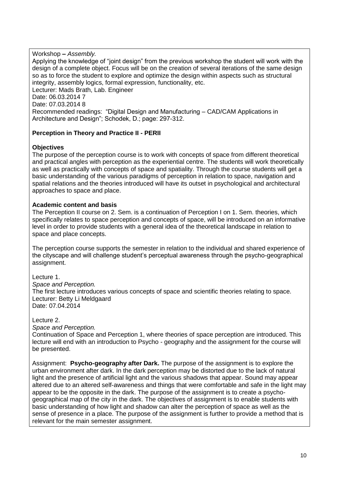Workshop **–** *Assembly.* Applying the knowledge of "joint design" from the previous workshop the student will work with the design of a complete object. Focus will be on the creation of several iterations of the same design so as to force the student to explore and optimize the design within aspects such as structural integrity, assembly logics, formal expression, functionality, etc. Lecturer: Mads Brath, Lab. Engineer Date: 06.03.2014 7 Date: 07.03.2014 8 Recommended readings: "Digital Design and Manufacturing – CAD/CAM Applications in Architecture and Design"; Schodek, D.; page: 297-312.

# **Perception in Theory and Practice II - PERII**

# **Objectives**

The purpose of the perception course is to work with concepts of space from different theoretical and practical angles with perception as the experiential centre. The students will work theoretically as well as practically with concepts of space and spatiality. Through the course students will get a basic understanding of the various paradigms of perception in relation to space, navigation and spatial relations and the theories introduced will have its outset in psychological and architectural approaches to space and place.

# **Academic content and basis**

The Perception II course on 2. Sem. is a continuation of Perception I on 1. Sem. theories, which specifically relates to space perception and concepts of space, will be introduced on an informative level in order to provide students with a general idea of the theoretical landscape in relation to space and place concepts.

The perception course supports the semester in relation to the individual and shared experience of the cityscape and will challenge student's perceptual awareness through the psycho-geographical assignment.

Lecture 1.

*Space and Perception.* The first lecture introduces various concepts of space and scientific theories relating to space. Lecturer: Betty Li Meldgaard Date: 07.04.2014

Lecture 2.

*Space and Perception.*

Continuation of Space and Perception 1, where theories of space perception are introduced. This lecture will end with an introduction to Psycho - geography and the assignment for the course will be presented.

Assignment: **Psycho-geography after Dark.** The purpose of the assignment is to explore the urban environment after dark. In the dark perception may be distorted due to the lack of natural light and the presence of artificial light and the various shadows that appear. Sound may appear altered due to an altered self-awareness and things that were comfortable and safe in the light may appear to be the opposite in the dark. The purpose of the assignment is to create a psychogeographical map of the city in the dark. The objectives of assignment is to enable students with basic understanding of how light and shadow can alter the perception of space as well as the sense of presence in a place. The purpose of the assignment is further to provide a method that is relevant for the main semester assignment.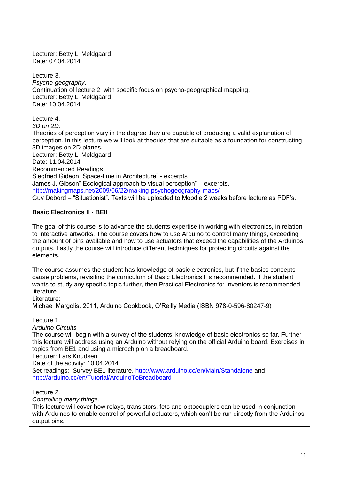Lecturer: Betty Li Meldgaard Date: 07.04.2014

Lecture 3. *Psycho-geography*. Continuation of lecture 2, with specific focus on psycho-geographical mapping. Lecturer: Betty Li Meldgaard Date: 10.04.2014

Lecture 4.

*3D on 2D.*

Theories of perception vary in the degree they are capable of producing a valid explanation of perception. In this lecture we will look at theories that are suitable as a foundation for constructing 3D images on 2D planes. Lecturer: Betty Li Meldgaard Date: 11.04.2014 Recommended Readings: Siegfried Gideon "Space-time in Architecture" - excerpts James J. Gibson" Ecological approach to visual perception" – excerpts.

<http://makingmaps.net/2009/06/22/making-psychogeography-maps/>

Guy Debord – "Situationist". Texts will be uploaded to Moodle 2 weeks before lecture as PDF's.

# **Basic Electronics II - BEII**

The goal of this course is to advance the students expertise in working with electronics, in relation to interactive artworks. The course covers how to use Arduino to control many things, exceeding the amount of pins available and how to use actuators that exceed the capabilities of the Arduinos outputs. Lastly the course will introduce different techniques for protecting circuits against the elements.

The course assumes the student has knowledge of basic electronics, but if the basics concepts cause problems, revisiting the curriculum of Basic Electronics I is recommended. If the student wants to study any specific topic further, then Practical Electronics for Inventors is recommended literature.

Literature:

Michael Margolis, 2011, Arduino Cookbook, O'Reilly Media (ISBN 978-0-596-80247-9)

Lecture 1.

*Arduino Circuits.*

The course will begin with a survey of the students' knowledge of basic electronics so far. Further this lecture will address using an Arduino without relying on the official Arduino board. Exercises in topics from BE1 and using a microchip on a breadboard.

Lecturer: Lars Knudsen

Date of the activity: 10.04.2014

Set readings: Survey BE1 literature.<http://www.arduino.cc/en/Main/Standalone> and <http://arduino.cc/en/Tutorial/ArduinoToBreadboard>

Lecture 2.

*Controlling many things.*

This lecture will cover how relays, transistors, fets and optocouplers can be used in conjunction with Arduinos to enable control of powerful actuators, which can't be run directly from the Arduinos output pins.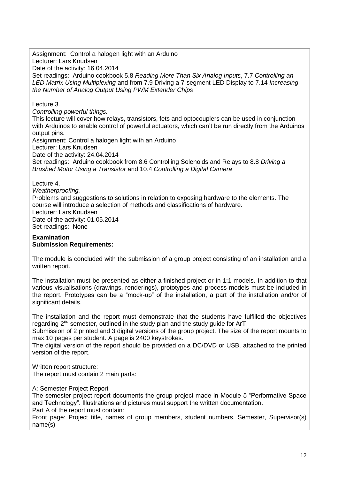Assignment:Control a halogen light with an Arduino Lecturer: Lars Knudsen Date of the activity: 16.04.2014 Set readings: Arduino cookbook 5.8 *Reading More Than Six Analog Inputs*, 7.7 *Controlling an LED Matrix Using Multiplexing* and from 7.9 Driving a 7-segment LED Display to 7.14 *Increasing the Number of Analog Output Using PWM Extender Chips*

Lecture 3.

*Controlling powerful things.*

This lecture will cover how relays, transistors, fets and optocouplers can be used in conjunction with Arduinos to enable control of powerful actuators, which can't be run directly from the Arduinos output pins.

Assignment: Control a halogen light with an Arduino

Lecturer: Lars Knudsen

Date of the activity: 24.04.2014

Set readings: Arduino cookbook from 8.6 Controlling Solenoids and Relays to 8.8 *Driving a Brushed Motor Using a Transistor* and 10.4 *Controlling a Digital Camera*

Lecture 4.

*Weatherproofing.*

Problems and suggestions to solutions in relation to exposing hardware to the elements. The course will introduce a selection of methods and classifications of hardware. Lecturer: Lars Knudsen

Date of the activity: 01.05.2014 Set readings: None

#### **Examination Submission Requirements:**

The module is concluded with the submission of a group project consisting of an installation and a written report.

The installation must be presented as either a finished project or in 1:1 models. In addition to that various visualisations (drawings, renderings), prototypes and process models must be included in the report. Prototypes can be a "mock-up" of the installation, a part of the installation and/or of significant details.

The installation and the report must demonstrate that the students have fulfilled the objectives regarding 2<sup>nd</sup> semester, outlined in the study plan and the study guide for ArT

Submission of 2 printed and 3 digital versions of the group project. The size of the report mounts to max 10 pages per student. A page is 2400 keystrokes.

The digital version of the report should be provided on a DC/DVD or USB, attached to the printed version of the report.

Written report structure:

The report must contain 2 main parts:

A: Semester Project Report

The semester project report documents the group project made in Module 5 "Performative Space and Technology". Illustrations and pictures must support the written documentation.

Part A of the report must contain:

Front page: Project title, names of group members, student numbers, Semester, Supervisor(s) name(s)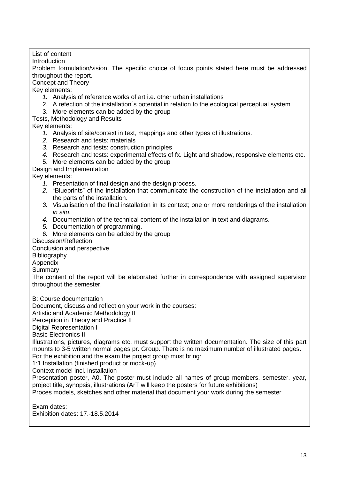List of content Introduction Problem formulation/vision. The specific choice of focus points stated here must be addressed throughout the report. Concept and Theory Key elements: *1.* Analysis of reference works of art i.e. other urban installations 2. A refection of the installation´s potential in relation to the ecological perceptual system 3. More elements can be added by the group Tests, Methodology and Results Key elements: *1.* Analysis of site/context in text, mappings and other types of illustrations. *2.* Research and tests: materials *3.* Research and tests: construction principles *4.* Research and tests: experimental effects of fx. Light and shadow, responsive elements etc. 5. More elements can be added by the group Design and Implementation Key elements: *1.* Presentation of final design and the design process. *2.* "Blueprints" of the installation that communicate the construction of the installation and all the parts of the installation. *3.* Visualisation of the final installation in its context; one or more renderings of the installation *in situ. 4.* Documentation of the technical content of the installation in text and diagrams. *5.* Documentation of programming. *6.* More elements can be added by the group Discussion/Reflection Conclusion and perspective Bibliography Appendix Summary The content of the report will be elaborated further in correspondence with assigned supervisor throughout the semester. B: Course documentation Document, discuss and reflect on your work in the courses: Artistic and Academic Methodology II Perception in Theory and Practice II Digital Representation I Basic Electronics II Illustrations, pictures, diagrams etc. must support the written documentation. The size of this part mounts to 3-5 written normal pages pr. Group. There is no maximum number of illustrated pages. For the exhibition and the exam the project group must bring: 1:1 Installation (finished product or mock-up) Context model incl. installation Presentation poster, A0. The poster must include all names of group members, semester, year, project title, synopsis, illustrations (ArT will keep the posters for future exhibitions) Proces models, sketches and other material that document your work during the semester

Exam dates: Exhibition dates: 17.-18.5.2014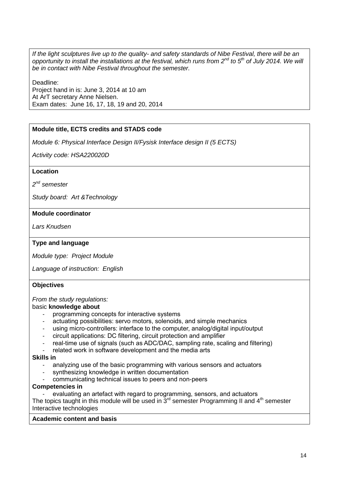*If the light sculptures live up to the quality- and safety standards of Nibe Festival, there will be an opportunity to install the installations at the festival, which runs from 2nd to 5th of July 2014. We will be in contact with Nibe Festival throughout the semester.*

Deadline: Project hand in is: June 3, 2014 at 10 am At ArT secretary Anne Nielsen. Exam dates: June 16, 17, 18, 19 and 20, 2014

# **Module title, ECTS credits and STADS code**

*Module 6: Physical Interface Design II/Fysisk Interface design II (5 ECTS)*

*Activity code: HSA220020D*

## **Location**

*2 nd semester*

*Study board: Art &Technology*

## **Module coordinator**

*Lars Knudsen*

# **Type and language**

*Module type: Project Module*

*Language of instruction: English*

#### **Objectives**

*From the study regulations:*

#### basic **knowledge about**

- programming concepts for interactive systems
- actuating possibilities: servo motors, solenoids, and simple mechanics
- using micro-controllers: interface to the computer, analog/digital input/output
- circuit applications: DC filtering, circuit protection and amplifier
- real-time use of signals (such as ADC/DAC, sampling rate, scaling and filtering)
- related work in software development and the media arts

#### **Skills in**

- analyzing use of the basic programming with various sensors and actuators
- synthesizing knowledge in written documentation
- communicating technical issues to peers and non-peers

#### **Competencies in**

evaluating an artefact with regard to programming, sensors, and actuators The topics taught in this module will be used in  $3<sup>rd</sup>$  semester Programming II and  $4<sup>th</sup>$  semester

Interactive technologies

#### **Academic content and basis**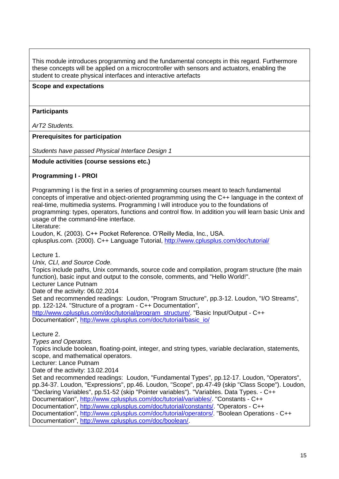This module introduces programming and the fundamental concepts in this regard. Furthermore these concepts will be applied on a microcontroller with sensors and actuators, enabling the student to create physical interfaces and interactive artefacts

## **Scope and expectations**

## **Participants**

*ArT2 Students.*

**Prerequisites for participation**

*Students have passed Physical Interface Design 1*

**Module activities (course sessions etc.)**

## **Programming I - PROI**

Programming I is the first in a series of programming courses meant to teach fundamental concepts of imperative and object-oriented programming using the C++ language in the context of real-time, multimedia systems. Programming I will introduce you to the foundations of programming: types, operators, functions and control flow. In addition you will learn basic Unix and usage of the command-line interface.

Literature:

Loudon, K. (2003). C++ Pocket Reference. O'Reilly Media, Inc., USA.

cplusplus.com. (2000). C++ Language Tutorial,<http://www.cplusplus.com/doc/tutorial/>

Lecture 1.

*Unix, CLI, and Source Code.*

Topics include paths, Unix commands, source code and compilation, program structure (the main function), basic input and output to the console, comments, and "Hello World!".

Lecturer Lance Putnam

Date of the activity: 06.02.2014

Set and recommended readings: Loudon, "Program Structure", pp.3-12. Loudon, "I/O Streams", pp. 122-124. "Structure of a program - C++ Documentation", http://www.cplusplus.com/doc/tutorial/program\_structure/\_"Basic Input/Output - C++

Documentation", [http://www.cplusplus.com/doc/tutorial/basic\\_io/](http://www.cplusplus.com/doc/tutorial/basic_io/)

Lecture 2.

*Types and Operators.*

Topics include boolean, floating-point, integer, and string types, variable declaration, statements, scope, and mathematical operators.

Lecturer: Lance Putnam

Date of the activity: 13.02.2014

Set and recommended readings: Loudon, "Fundamental Types", pp.12-17. Loudon, "Operators", pp.34-37. Loudon, "Expressions", pp.46. Loudon, "Scope", pp.47-49 (skip "Class Scope"). Loudon, "Declaring Variables", pp.51-52 (skip "Pointer variables"). "Variables. Data Types. - C++ Documentation", [http://www.cplusplus.com/doc/tutorial/variables/.](http://www.cplusplus.com/doc/tutorial/variables/) "Constants - C++ Documentation", [http://www.cplusplus.com/doc/tutorial/constants/.](http://www.cplusplus.com/doc/tutorial/constants/) "Operators - C++ Documentation", [http://www.cplusplus.com/doc/tutorial/operators/.](http://www.cplusplus.com/doc/tutorial/operators/) "Boolean Operations - C++ Documentation", [http://www.cplusplus.com/doc/boolean/.](http://www.cplusplus.com/doc/boolean/)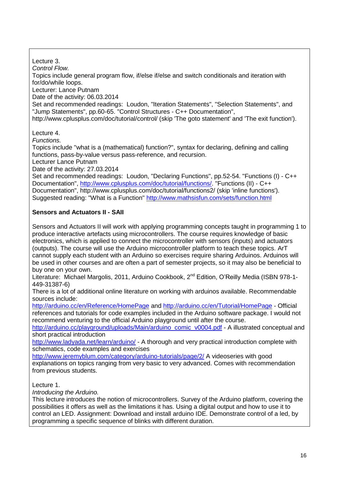Lecture 3. *Control Flow.* Topics include general program flow, if/else if/else and switch conditionals and iteration with for/do/while loops. Lecturer: Lance Putnam Date of the activity: 06.03.2014 Set and recommended readings: Loudon, "Iteration Statements", "Selection Statements", and "Jump Statements", pp.60-65. "Control Structures - C++ Documentation", http://www.cplusplus.com/doc/tutorial/control/ (skip 'The goto statement' and 'The exit function'). Lecture 4. *Functions.* Topics include "what is a (mathematical) function?", syntax for declaring, defining and calling functions, pass-by-value versus pass-reference, and recursion. Lecturer Lance Putnam Date of the activity: 27.03.2014 Set and recommended readings: Loudon, "Declaring Functions", pp.52-54. "Functions (I) - C++ Documentation", [http://www.cplusplus.com/doc/tutorial/functions/.](http://www.cplusplus.com/doc/tutorial/functions/) "Functions (II) - C++ Documentation", http://www.cplusplus.com/doc/tutorial/functions2/ (skip 'inline functions'). Suggested reading: "What is a Function"<http://www.mathsisfun.com/sets/function.html> **Sensors and Actuators II - SAII** Sensors and Actuators II will work with applying programming concepts taught in programming 1 to produce interactive artefacts using microcontrollers. The course requires knowledge of basic electronics, which is applied to connect the microcontroller with sensors (inputs) and actuators (outputs). The course will use the Arduino microcontroller platform to teach these topics. ArT

cannot supply each student with an Arduino so exercises require sharing Arduinos. Arduinos will be used in other courses and are often a part of semester projects, so it may also be beneficial to buy one on your own.

Literature: Michael Margolis, 2011, Arduino Cookbook, 2<sup>nd</sup> Edition, O'Reilly Media (ISBN 978-1-449-31387-6)

There is a lot of additional online literature on working with arduinos available. Recommendable sources include:

<http://arduino.cc/en/Reference/HomePage> and<http://arduino.cc/en/Tutorial/HomePage> - Official references and tutorials for code examples included in the Arduino software package. I would not recommend venturing to the official Arduino playground until after the course.

[http://arduino.cc/playground/uploads/Main/arduino\\_comic\\_v0004.pdf](http://arduino.cc/playground/uploads/Main/arduino_comic_v0004.pdf) - A illustrated conceptual and short practical introduction

<http://www.ladyada.net/learn/arduino/> - A thorough and very practical introduction complete with schematics, code examples and exercises

<http://www.jeremyblum.com/category/arduino-tutorials/page/2/> A videoseries with good explanations on topics ranging from very basic to very advanced. Comes with recommendation from previous students.

Lecture 1.

*Introducing the Arduino.*

This lecture introduces the notion of microcontrollers. Survey of the Arduino platform, covering the possibilities it offers as well as the limitations it has. Using a digital output and how to use it to control an LED. Assignment: Download and install arduino IDE. Demonstrate control of a led, by programming a specific sequence of blinks with different duration.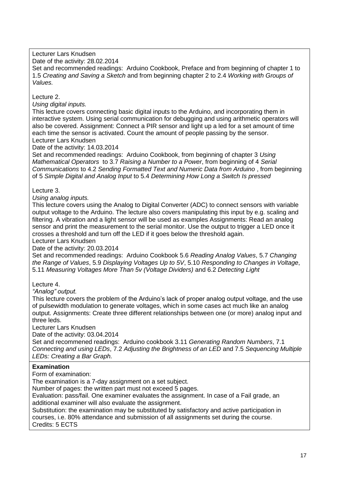Lecturer Lars Knudsen

Date of the activity: 28.02.2014

Set and recommended readings: Arduino Cookbook, Preface and from beginning of chapter 1 to 1.5 *Creating and Saving a Sketch* and from beginning chapter 2 to 2.4 *Working with Groups of Values.*

Lecture 2.

*Using digital inputs.*

This lecture covers connecting basic digital inputs to the Arduino, and incorporating them in interactive system. Using serial communication for debugging and using arithmetic operators will also be covered. Assignment: Connect a PIR sensor and light up a led for a set amount of time each time the sensor is activated. Count the amount of people passing by the sensor. Lecturer Lars Knudsen

Date of the activity: 14.03.2014

Set and recommended readings: Arduino Cookbook, from beginning of chapter 3 *Using Mathematical Operators* to 3.7 *Raising a Number to a Power*, from beginning of 4 *Serial Communications* to 4.2 *Sending Formatted Text and Numeric Data from Arduino* , from beginning of 5 *Simple Digital and Analog Input* to 5.4 *Determining How Long a Switch Is pressed*

## Lecture 3.

*Using analog inputs.*

This lecture covers using the Analog to Digital Converter (ADC) to connect sensors with variable output voltage to the Arduino. The lecture also covers manipulating this input by e.g. scaling and filtering. A vibration and a light sensor will be used as examples Assignments: Read an analog sensor and print the measurement to the serial monitor. Use the output to trigger a LED once it crosses a threshold and turn off the LED if it goes below the threshold again.

Lecturer Lars Knudsen

Date of the activity: 20.03.2014

Set and recommended readings: Arduino Cookbook 5.6 *Reading Analog Values*, 5.7 *Changing the Range of Values*, 5.9 *Displaying Voltages Up to 5V*, 5.10 *Responding to Changes in Voltage*, 5.11 *Measuring Voltages More Than 5v (Voltage Dividers)* and 6.2 *Detecting Light*

Lecture 4.

*"Analog" output.*

This lecture covers the problem of the Arduino's lack of proper analog output voltage, and the use of pulsewidth modulation to generate voltages, which in some cases act much like an analog output. Assignments: Create three different relationships between one (or more) analog input and three leds.

Lecturer Lars Knudsen

Date of the activity: 03.04.2014

Set and recommened readings: Arduino cookbook 3.11 *Generating Random Numbers*, 7.1 *Connecting and using LEDs*, 7.2 *Adjusting the Brightness of an LED* and 7.5 *Sequencing Multiple LEDs: Creating a Bar Graph.*

## **Examination**

Form of examination:

The examination is a 7-day assignment on a set subject.

Number of pages: the written part must not exceed 5 pages.

Evaluation: pass/fail. One examiner evaluates the assignment. In case of a Fail grade, an additional examiner will also evaluate the assignment.

Substitution: the examination may be substituted by satisfactory and active participation in courses, i.e. 80% attendance and submission of all assignments set during the course. Credits: 5 ECTS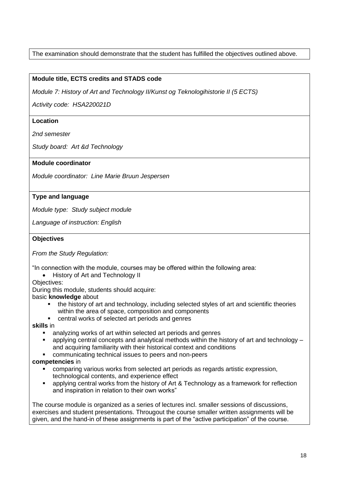# The examination should demonstrate that the student has fulfilled the objectives outlined above.

# **Module title, ECTS credits and STADS code**

*Module 7: History of Art and Technology II/Kunst og Teknologihistorie II (5 ECTS)*

*Activity code: HSA220021D*

## **Location**

*2nd semester*

*Study board: Art &d Technology*

## **Module coordinator**

*Module coordinator: Line Marie Bruun Jespersen*

# **Type and language**

*Module type: Study subject module*

*Language of instruction: English*

# **Objectives**

*From the Study Regulation:*

"In connection with the module, courses may be offered within the following area:

• History of Art and Technology II

Objectives:

During this module, students should acquire:

basic **knowledge** about

- the history of art and technology, including selected styles of art and scientific theories within the area of space, composition and components
- central works of selected art periods and genres

#### **skills** in

- analyzing works of art within selected art periods and genres
- applying central concepts and analytical methods within the history of art and technology and acquiring familiarity with their historical context and conditions
- communicating technical issues to peers and non-peers

## **competencies** in

- comparing various works from selected art periods as regards artistic expression, technological contents, and experience effect
- applying central works from the history of Art & Technology as a framework for reflection and inspiration in relation to their own works"

The course module is organized as a series of lectures incl. smaller sessions of discussions, exercises and student presentations. Througout the course smaller written assignments will be given, and the hand-in of these assignments is part of the "active participation" of the course.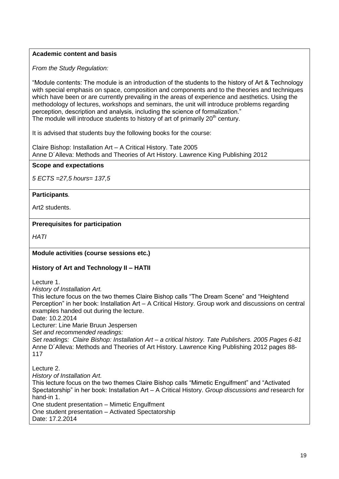# **Academic content and basis**

*From the Study Regulation:*

"Module contents: The module is an introduction of the students to the history of Art & Technology with special emphasis on space, composition and components and to the theories and techniques which have been or are currently prevailing in the areas of experience and aesthetics. Using the methodology of lectures, workshops and seminars, the unit will introduce problems regarding perception, description and analysis, including the science of formalization." The module will introduce students to history of art of primarily  $20<sup>th</sup>$  century.

It is advised that students buy the following books for the course:

Claire Bishop: Installation Art – A Critical History. Tate 2005 Anne D´Alleva: Methods and Theories of Art History. Lawrence King Publishing 2012

**Scope and expectations**

*5 ECTS =27,5 hours= 137,5*

# **Participants***.*

Art2 students.

# **Prerequisites for participation**

*HATI*

# **Module activities (course sessions etc.)**

## **History of Art and Technology II – HATII**

Lecture 1.

*History of Installation Art.*

This lecture focus on the two themes Claire Bishop calls "The Dream Scene" and "Heightend Perception" in her book: Installation Art – A Critical History. Group work and discussions on central examples handed out during the lecture.

Date: 10.2.2014

Lecturer: Line Marie Bruun Jespersen

*Set and recommended readings:*

*Set readings: Claire Bishop: Installation Art – a critical history. Tate Publishers. 2005 Pages 6-81* Anne D´Alleva: Methods and Theories of Art History. Lawrence King Publishing 2012 pages 88- 117

Lecture 2.

*History of Installation Art.*

This lecture focus on the two themes Claire Bishop calls "Mimetic Engulfment" and "Activated Spectatorship" in her book: Installation Art – A Critical History. *Group discussions and* research for hand-in 1. One student presentation – Mimetic Engulfment

One student presentation – Activated Spectatorship

Date: 17.2.2014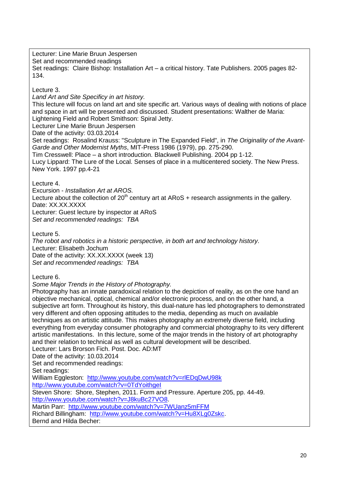Lecturer: Line Marie Bruun Jespersen Set and recommended readings Set readings: Claire Bishop: Installation Art – a critical history. Tate Publishers. 2005 pages 82- 134.

# Lecture 3.

*Land Art and Site Specificy in art history.*

This lecture will focus on land art and site specific art. Various ways of dealing with notions of place and space in art will be presented and discussed. Student presentations: Walther de Maria: Lightening Field and Robert Smithson: Spiral Jetty.

Lecturer Line Marie Bruun Jespersen Date of the activity: 03.03.2014

Set readings: Rosalind Krauss: "Sculpture in The Expanded Field", in *The Originality of the Avant-Garde and Other Modernist Myths*, MIT-Press 1986 (1979), pp. 275-290.

Tim Cresswell: Place – a short introduction. Blackwell Publishing. 2004 pp 1-12.

Lucy Lippard: The Lure of the Local. Senses of place in a multicentered society. The New Press. New York. 1997 pp.4-21

Lecture 4.

Excursion - *Installation Art at AROS.*

Lecture about the collection of  $20<sup>th</sup>$  century art at ARoS + research assignments in the gallery. Date: XX.XX.XXXX

Lecturer: Guest lecture by inspector at ARoS

*Set and recommended readings: TBA*

Lecture 5.

*The robot and robotics in a historic perspective, in both art and technology history.* Lecturer: Elisabeth Jochum Date of the activity: XX.XX.XXXX (week 13) *Set and recommended readings: TBA*

Lecture 6.

*Some Major Trends in the History of Photography.*

Photography has an innate paradoxical relation to the depiction of reality, as on the one hand an objective mechanical, optical, chemical and/or electronic process, and on the other hand, a subjective art form. Throughout its history, this dual-nature has led photographers to demonstrated very different and often opposing attitudes to the media, depending as much on available techniques as on artistic attitude. This makes photography an extremely diverse field, including everything from everyday consumer photography and commercial photography to its very different artistic manifestations. In this lecture, some of the major trends in the history of art photography and their relation to technical as well as cultural development will be described. Lecturer: Lars Brorson Fich. Post. Doc. AD:MT

Date of the activity: 10.03.2014

Set and recommended readings:

Set readings:

William Eggleston: <http://www.youtube.com/watch?v=rlEDqDwU98k>

<http://www.youtube.com/watch?v=0TdYoithgeI>

Steven Shore: Shore, Stephen, 2011. Form and Pressure. Aperture 205, pp. 44-49.

[http://www.youtube.com/watch?v=J8kuBc27VO8.](http://www.youtube.com/watch?v=J8kuBc27VO8)

Martin Parr: <http://www.youtube.com/watch?v=7WUanz5mFFM>

Richard Billingham: [http://www.youtube.com/watch?v=Hu8XLg0Zskc.](http://www.youtube.com/watch?v=Hu8XLg0Zskc)

Bernd and Hilda Becher: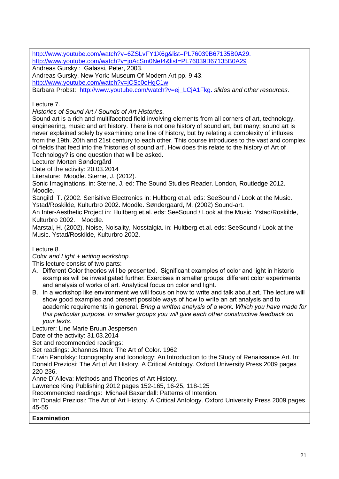[http://www.youtube.com/watch?v=6ZSLvFY1X6g&list=PL76039B67135B0A29.](http://www.youtube.com/watch?v=6ZSLvFY1X6g&list=PL76039B67135B0A29) <http://www.youtube.com/watch?v=joAcSm0NeI4&list=PL76039B67135B0A29> Andreas Gursky : Galassi, Peter, 2003.

Andreas Gursky. New York: Museum Of Modern Art pp. 9-43.

[http://www.youtube.com/watch?v=jCSc0oHgC1w.](http://www.youtube.com/watch?v=jCSc0oHgC1w)

Barbara Probst: [http://www.youtube.com/watch?v=ej\\_LCjA1Fkg.](http://www.youtube.com/watch?v=ej_LCjA1Fkg) *slides and other resources.*

Lecture 7.

*Histories of Sound Art / Sounds of Art Histories.*

Sound art is a rich and multifacetted field involving elements from all corners of art, technology, engineering, music and art history. There is not one history of sound art, but many; sound art is never explained solely by examining one line of history, but by relating a complexity of influxes from the 19th, 20th and 21st century to each other. This course introduces to the vast and complex of fields that feed into the 'histories of sound art'. How does this relate to the history of Art of Technology? is one question that will be asked.

Lecturer Morten Søndergård

Date of the activity: 20.03.2014

Literature: Moodle. Sterne, J. (2012).

Sonic Imaginations. in: Sterne, J. ed: The Sound Studies Reader. London, Routledge 2012. Moodle.

Sangild, T. (2002. Senisitive Electronics in: Hultberg et.al. eds: SeeSound / Look at the Music. Ystad/Roskilde, Kulturbro 2002. Moodle. Søndergaard, M. (2002) Sound-art.

An Inter-Aesthetic Project in: Hultberg et.al. eds: SeeSound / Look at the Music. Ystad/Roskilde, Kulturbro 2002. Moodle.

Marstal, H. (2002). Noise, Noisality, Nosstalgia. in: Hultberg et.al. eds: SeeSound / Look at the Music. Ystad/Roskilde, Kulturbro 2002.

Lecture 8.

*Color and Light + writing workshop.*

This lecture consist of two parts:

- A. Different Color theories will be presented. Significant examples of color and light in historic examples will be investigated further. Exercises in smaller groups: different color experiments and analysis of works of art. Analytical focus on color and light.
- B. In a workshop like environment we will focus on how to write and talk about art. The lecture will show good examples and present possible ways of how to write an art analysis and to academic requirements in general. *Bring a written analysis of a work. Which you have made for this particular purpose. In smaller groups you will give each other constructive feedback on your texts.*

Lecturer: Line Marie Bruun Jespersen

Date of the activity: 31.03.2014

Set and recommended readings:

Set readings: Johannes Itten: The Art of Color. 1962

Erwin Panofsky: Iconography and Iconology: An Introduction to the Study of Renaissance Art. In: Donald Preziosi: The Art of Art History. A Critical Antology. Oxford University Press 2009 pages 220-236.

Anne D´Alleva: Methods and Theories of Art History.

Lawrence King Publishing 2012 pages 152-165, 16-25, 118-125

Recommended readings: Michael Baxandall: Patterns of Intention.

In: Donald Preziosi: The Art of Art History. A Critical Antology. Oxford University Press 2009 pages 45-55

**Examination**